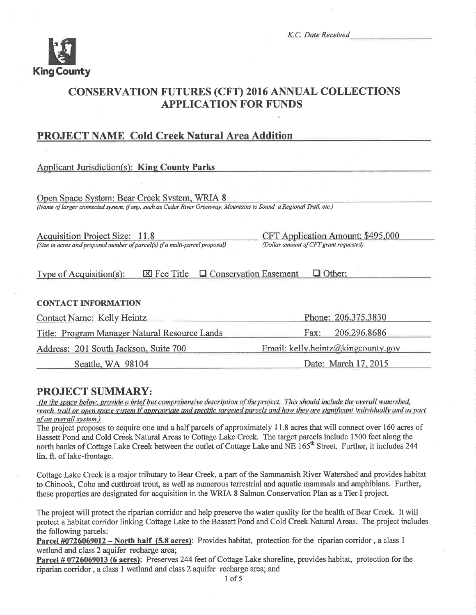

# **CONSERVATION FUTURES (CFT) 2016 ANNUAL COLLECTIONS APPLICATION FOR FUNDS**

# **PROJECT NAME Cold Creek Natural Area Addition**

| <b>Applicant Jurisdiction(s): King County Parks</b>                                                                                                                 |                                          |
|---------------------------------------------------------------------------------------------------------------------------------------------------------------------|------------------------------------------|
|                                                                                                                                                                     |                                          |
| Open Space System: Bear Creek System, WRIA 8<br>(Name of larger connected system, if any, such as Cedar River Greenway, Mountains to Sound, a Regional Trail, etc.) |                                          |
|                                                                                                                                                                     |                                          |
| <b>Acquisition Project Size: 11.8</b>                                                                                                                               | <b>CFT Application Amount: \$495,000</b> |
| (Size in acres and proposed number of parcel(s) if a multi-parcel proposal)                                                                                         | (Dollar amount of CFT grant requested)   |
| $\boxtimes$ Fee Title<br>Type of Acquisition(s):                                                                                                                    | □ Conservation Easement<br>$\Box$ Other: |
| <b>CONTACT INFORMATION</b>                                                                                                                                          |                                          |
| Contact Name: Kelly Heintz                                                                                                                                          | Phone: 206.375.3830                      |
| Title: Program Manager Natural Resource Lands                                                                                                                       | 206.296.8686<br>Fax:                     |
| Address: 201 South Jackson, Suite 700                                                                                                                               | Email: kelly.heintz@kingcounty.gov       |
| Seattle, WA 98104                                                                                                                                                   | Date: March 17, 2015                     |

# **PROJECT SUMMARY:**

(In the space below, provide a brief but comprehensive description of the project. This should include the overall watershed, reach, trail or open space system if appropriate and specific targeted parcels and how they are significant individually and as part of an overall system.)

The project proposes to acquire one and a half parcels of approximately 11.8 acres that will connect over 160 acres of Bassett Pond and Cold Creek Natural Areas to Cottage Lake Creek. The target parcels include 1500 feet along the north banks of Cottage Lake Creek between the outlet of Cottage Lake and NE 165<sup>th</sup> Street. Further, it includes 244 lin. ft. of lake-frontage.

Cottage Lake Creek is a major tributary to Bear Creek, a part of the Sammamish River Watershed and provides habitat to Chinook, Coho and cutthroat trout, as well as numerous terrestrial and aquatic mammals and amphibians. Further, these properties are designated for acquisition in the WRIA 8 Salmon Conservation Plan as a Tier I project.

The project will protect the riparian corridor and help preserve the water quality for the health of Bear Creek. It will protect a habitat corridor linking Cottage Lake to the Bassett Pond and Cold Creek Natural Areas. The project includes the following parcels:

Parcel #0726069012 – North half (5.8 acres): Provides habitat, protection for the riparian corridor, a class 1 wetland and class 2 aquifer recharge area;

Parcel #0726069013 (6 acres): Preserves 244 feet of Cottage Lake shoreline, provides habitat, protection for the riparian corridor, a class 1 wetland and class 2 aquifer recharge area; and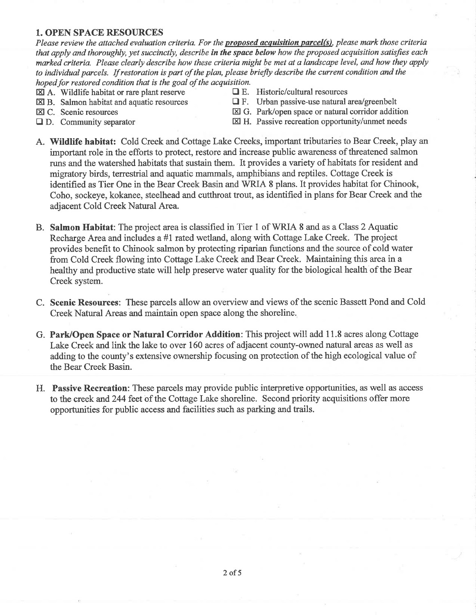## 1. OPEN SPACE RESOURCES

Please review the attached evaluation criteria. For the **proposed acquisition parcel(s)**, please mark those criteria that apply and thoroughly, yet succinctly, describe in the space below how the proposed acquisition satisfies each marked criteria. Please clearly describe how these criteria might be met at a landscape level, and how they apply to individual parcels. If restoration is part of the plan, please briefly describe the current condition and the hoped for restored condition that is the goal of the acquisition.

- 
- $\boxtimes$  A. Wildlife habitat or rare plant reserve  $\Box$  E. Historic/cultural resources  $\Box$  E. Urban passive-use natural is
	-
- 
- $\boxtimes$  B. Salmon habitat and aquatic resources  $\Box$  F. Urban passive-use natural area/greenbelt  $\boxtimes$  C. Scenic resources  $\boxtimes$  G. Park/open space or natural corridor additional  $\boxtimes$  G. Park/open space or natural corridor addition
- 
- 
- $\Box$  D. Community separator  $\boxtimes$  H. Passive recreation opportunity/unmet needs
- A. Wildlife habitat: Cold Creek and Cottage Lake Creeks, important tributaries to Bear Creek, play an important role in the efforts to protect, restore and increase public awareness of threatened salmon runs and the watershed habitats that sustain them. It provides a vanety of habitats for resident and migratory birds, terrestrial and aquatic mammals, amphibians and reptiles. Cottage Creek is identifred as Tier One in the Bear Creek Basin and WRIA 8 plans. It provides habitat for Chinook, Coho, sockeye, kokanee, steelhead and cutthroat trout, as identified in plans for Bear Creek and the adjacent Cold Creek Natural Area.
- B. Salmon Habitat: The project area is classified in Tier 1 of WRIA 8 and as a Class 2 Aquatic Recharge Area and includes a #1 rated wetland, along with Cottage Lake Creek. The project provides benefit to Chinook salmon by protecting riparian functions and the sowce of cold water from Cold Creek flowing into Cottage Lake Creek and Bear Creek. Maintaining this area in a healthy and productive state will help preserve water quality for the biological health of the Bear Creek system.
- C. Scenic Resources: These parcels allow an overview and views of the scenic Bassett Pond and Cold Creek Natural Areas and maintain open space along the shoreline.
- G. Park/Open Space or Natural Corridor Addition: This project will add 11.8 acres along Cottage Lake Creek and link the lake to over 160 acres of adjacent county-owned natural areas as well as adding to the county's extensive ownership focusing on protection of the high ecological value of the Bear Creek Basin.
- H. Passive Recreation: These parcels may provide public interpretive opportunities, as well as access to the creek and244 feet of the Cottage Lake shoreline. Second priority acquisitions offer more opportunities for public access and facilities such as parking and trails.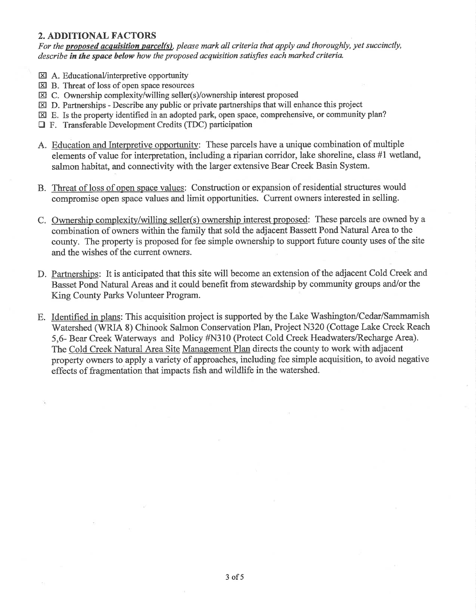# 2. ADDITIONAL FACTORS

For the **proposed acquisition parcel(s)**, please mark all criteria that apply and thoroughly, yet succinctly, describe in the space below how the proposed acquisition satisfies each marked criteria.

- EA. EducationaVinterpretive opportunity
- ED. Threat of loss of open space resources
- EI C. Ownership complexity/willing seller(s)/ownership interest proposed
- $\boxtimes$  D. Partnerships Describe any public or private partnerships that will enhance this project
- E. Is the property identified in an adopted park, open space, comprehensive, or community plan?
- DF. Transferable Development Credits (TDC) participation
- A. Education and Interpretive opportunitv: These parcels have a unique combination of multiple elements of value for interpretation, including a riparian corridor, lake shoreline, class #1 wetland, salmon habitat, and connectivity with the larger extensive Bear Creek Basin System.
- B. Threat of loss of open space values: Construction or expansion of residential structures would compromise open space values and limit opportunities. Current owners interested in selling.
- C. Ownership complexity/willing seller(s) ownership interest proposed: These parcels are owned by a combination of owners within the family that sold the adjacent Bassett Pond Natural Area to the county. The property is proposed for fee simple ownership to support future county uses of the site and the wishes of the current owners.
- D. Partnerships: It is anticipated that this site will become an extension of the adjacent Cold Creek and Basset Pond Natural Areas and it could benefit from stewardship by community groups and/or the King County Parks Volunteer Program.
- E. Identified in plans: This acquisition project is supported by the Lake Washington/Cedar/Sammamish Watershed (WRIA 8) Chinook Salmon Conservation Plan, Project N320 (Cottage Lake Creek Reach 5,6- Bear Creek Waterways and Policy #N310 (Protect Cold Creek Headwaters/Recharge Area). The Cold Creek Natural Area Site Management Plan directs the county to work with adjacent property owners to apply a variety of approaches, including fee simple acquisition, to avoid negative effects of fragmentation that impacts fish and wildlife in the watershed.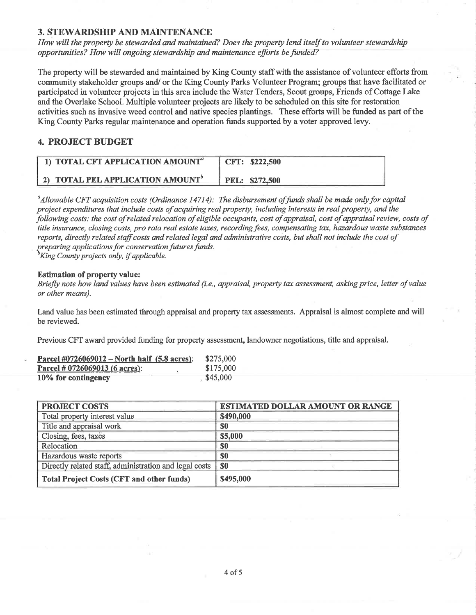## 3. STEWARDSIIP AND MAINTENANCE

How will the property be stewarded and maintained? Does the property lend itself to volunteer stewardship opportunities? How will ongoing stewardship and maintenance efforts befunded?

The property will be stewarded and maintained by King County staff with the assistance of volunteer efforts from community stakeholder groups and/ or the King County Parks Volunteer Program; groups that have facilitated or participated in volunteer projects in this area include the Water Tenders, Scout groups, Friends of Cottage Lake and the Overlake School. Multiple volunteer projects are likely to be scheduled on this site for restoration activities such as invasive weed control and native species plantings. These efforts will be funded as part of the King County Parks regular maintenance and operation funds supported by a voter approved levy.

# 4. PROJECT BUDGET

| 1) TOTAL CFT APPLICATION AMOUNT <sup>"</sup> | CFT: \$222,500        |
|----------------------------------------------|-----------------------|
| 2) TOTAL PEL APPLICATION AMOUNT <sup>®</sup> | <b>PEL: \$272,500</b> |

<sup>a</sup>Allowable CFT acquisition costs (Ordinance 14714): The disbursement of funds shall be made only for capital project expenditures that include costs of acquiring real property, including interests in real property, and the þllowing costs: the cost of related relocation of eligible occupants, cost of appraisal, cost of appraisal review, costs of title insurance, closing costs, pro rata real estate taxes, recording fees, compensating tax, hazardous waste substances reports, directly related staff costs and related legal and administrative costs, but shall not include the cost of preparing applications for conservation futures funds.<br> ${}^b$ King County projects only, if applicable.

#### Estimation of property value:

Briefly note how land values have been estimated (i.e., appraisal, property tax assessment, asking price, letter of value or other means).

Land value has been estimated through appraisal and property tan assessments. Appraisal is almost complete and will be reviewed.

Previous CFT award provided funding for property assessment, landowner negotiations, title and appraisal.

| Parcel $\text{\#0726069012} - \text{North half } (5.8 \text{ acres})$ : | \$275,000 |
|-------------------------------------------------------------------------|-----------|
| Parcel # 0726069013 (6 acres):                                          | \$175,000 |
| 10% for contingency                                                     | \$45,000  |

| <b>PROJECT COSTS</b>                                   | <b>ESTIMATED DOLLAR AMOUNT OR RANGE</b> |
|--------------------------------------------------------|-----------------------------------------|
| Total property interest value                          | \$490,000                               |
| Title and appraisal work                               | \$0                                     |
| Closing, fees, taxes                                   | \$5,000                                 |
| Relocation                                             | \$0                                     |
| Hazardous waste reports                                | \$0                                     |
| Directly related staff, administration and legal costs | SO                                      |
| <b>Total Project Costs (CFT and other funds)</b>       | \$495,000                               |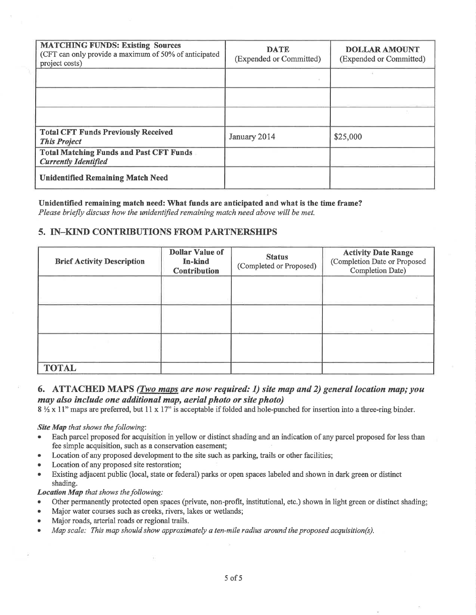| <b>MATCHING FUNDS: Existing Sources</b><br>(CFT can only provide a maximum of 50% of anticipated<br>project costs) | <b>DATE</b><br>(Expended or Committed) | <b>DOLLAR AMOUNT</b><br>(Expended or Committed) |
|--------------------------------------------------------------------------------------------------------------------|----------------------------------------|-------------------------------------------------|
|                                                                                                                    |                                        |                                                 |
|                                                                                                                    |                                        |                                                 |
|                                                                                                                    |                                        |                                                 |
| <b>Total CFT Funds Previously Received</b><br><b>This Project</b>                                                  | January 2014                           | \$25,000                                        |
| <b>Total Matching Funds and Past CFT Funds</b><br><b>Currently Identified</b>                                      |                                        |                                                 |
| <b>Unidentified Remaining Match Need</b>                                                                           |                                        |                                                 |

# Unidentified remaining match need: What funds are anticipated and what is the time frame?

Please briefly discuss how the unidentified remaining match need above will be met.

# 5. IN-KIND CONTRIBUTIONS FROM PARTNERSHIPS

| <b>Brief Activity Description</b> | <b>Dollar Value of</b><br>In-kind<br><b>Contribution</b> | <b>Status</b><br>(Completed or Proposed) | <b>Activity Date Range</b><br>(Completion Date or Proposed<br>Completion Date) |
|-----------------------------------|----------------------------------------------------------|------------------------------------------|--------------------------------------------------------------------------------|
|                                   |                                                          |                                          |                                                                                |
|                                   |                                                          |                                          |                                                                                |
|                                   |                                                          |                                          |                                                                                |
| <b>TOTAL</b>                      |                                                          |                                          |                                                                                |

# 6. ATTACHED MAPS (Two maps are now required: 1) site map and 2) general location map; you may also include one additional map, aerial photo or site photo)

 $8\frac{1}{2}$  x 11" maps are preferred, but 11 x 17" is acceptable if folded and hole-punched for insertion into a three-ring binder.

## Site Map that shows the following:

- Each parcel proposed for acquisition in yellow or distinct shading and an indication of any parcel proposed for less than fee simple acquisition, such as a conservation easement;
- Location of any proposed development to the site such as parking, trails or other facilities;
- Location of any proposed site restoration;
- Existing adjacent public (local, state or federal) parks or open spaces labeled and shown in dark green or distinct shading.

## Location Map that shows the following:

- Other permanently protected open spaces (private, non-profit, institutional, etc.) shown in light green or distinct shading;  $\bullet$
- Major water courses such as creeks, rivers, lakes or wetlands;
- Major roads, arterial roads or regional trails.
- Map scale: This map should show approximately a ten-mile radius around the proposed acquisition(s).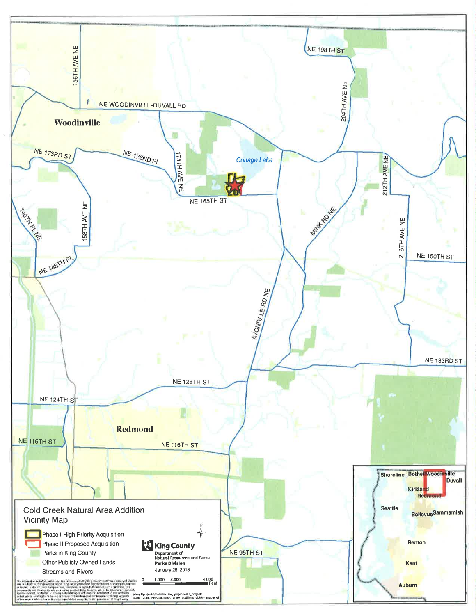